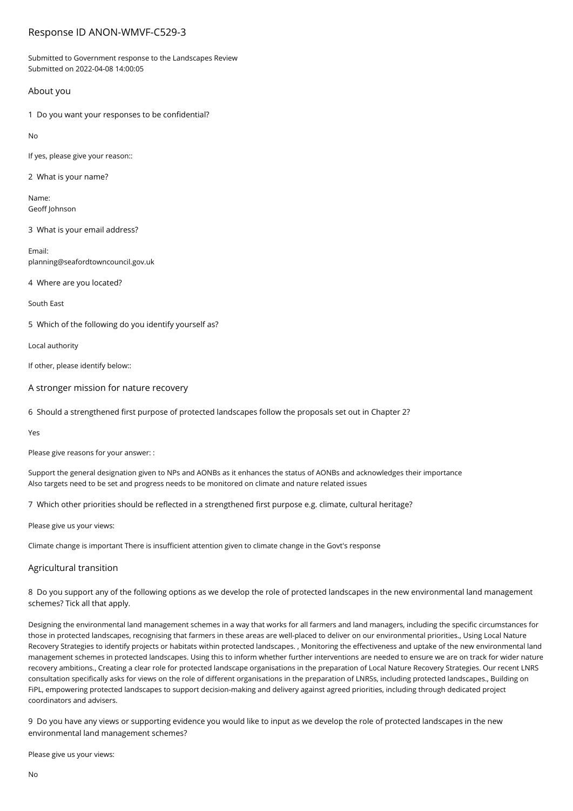# Response ID ANON-WMVF-C529-3

Submitted to Government response to the Landscapes Review Submitted on 2022-04-08 14:00:05

# About you

1 Do you want your responses to be confidential?

No

If yes, please give your reason::

2 What is your name?

Name: Geoff Johnson

3 What is your email address?

Email: planning@seafordtowncouncil.gov.uk

4 Where are you located?

South East

5 Which of the following do you identify yourself as?

Local authority

If other, please identify below::

A stronger mission for nature recovery

6 Should a strengthened first purpose of protected landscapes follow the proposals set out in Chapter 2?

Yes

Please give reasons for your answer: :

Support the general designation given to NPs and AONBs as it enhances the status of AONBs and acknowledges their importance Also targets need to be set and progress needs to be monitored on climate and nature related issues

7 Which other priorities should be reflected in a strengthened first purpose e.g. climate, cultural heritage?

Please give us your views:

Climate change is important There is insufficient attention given to climate change in the Govt's response

# Agricultural transition

8 Do you support any of the following options as we develop the role of protected landscapes in the new environmental land management schemes? Tick all that apply.

Designing the environmental land management schemes in a way that works for all farmers and land managers, including the specific circumstances for those in protected landscapes, recognising that farmers in these areas are well-placed to deliver on our environmental priorities., Using Local Nature Recovery Strategies to identify projects or habitats within protected landscapes. , Monitoring the effectiveness and uptake of the new environmental land management schemes in protected landscapes. Using this to inform whether further interventions are needed to ensure we are on track for wider nature recovery ambitions., Creating a clear role for protected landscape organisations in the preparation of Local Nature Recovery Strategies. Our recent LNRS consultation specifically asks for views on the role of different organisations in the preparation of LNRSs, including protected landscapes., Building on FiPL, empowering protected landscapes to support decision-making and delivery against agreed priorities, including through dedicated project coordinators and advisers.

9 Do you have any views or supporting evidence you would like to input as we develop the role of protected landscapes in the new environmental land management schemes?

Please give us your views: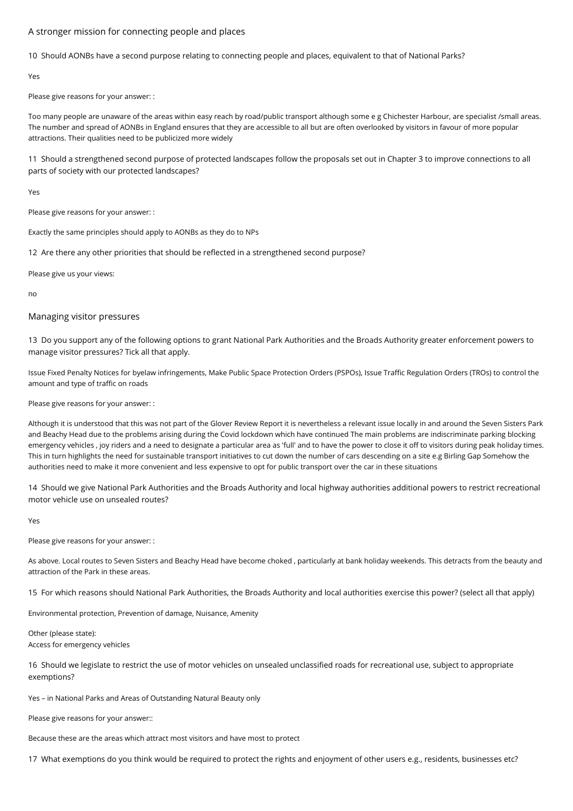# A stronger mission for connecting people and places

10 Should AONBs have a second purpose relating to connecting people and places, equivalent to that of National Parks?

Yes

Please give reasons for your answer: :

Too many people are unaware of the areas within easy reach by road/public transport although some e g Chichester Harbour, are specialist /small areas. The number and spread of AONBs in England ensures that they are accessible to all but are often overlooked by visitors in favour of more popular attractions. Their qualities need to be publicized more widely

11 Should a strengthened second purpose of protected landscapes follow the proposals set out in Chapter 3 to improve connections to all parts of society with our protected landscapes?

Yes

Please give reasons for your answer: :

Exactly the same principles should apply to AONBs as they do to NPs

12 Are there any other priorities that should be reflected in a strengthened second purpose?

Please give us your views:

no

# Managing visitor pressures

13 Do you support any of the following options to grant National Park Authorities and the Broads Authority greater enforcement powers to manage visitor pressures? Tick all that apply.

Issue Fixed Penalty Notices for byelaw infringements, Make Public Space Protection Orders (PSPOs), Issue Traffic Regulation Orders (TROs) to control the amount and type of traffic on roads

Please give reasons for your answer: :

Although it is understood that this was not part of the Glover Review Report it is nevertheless a relevant issue locally in and around the Seven Sisters Park and Beachy Head due to the problems arising during the Covid lockdown which have continued The main problems are indiscriminate parking blocking emergency vehicles , joy riders and a need to designate a particular area as 'full' and to have the power to close it off to visitors during peak holiday times. This in turn highlights the need for sustainable transport initiatives to cut down the number of cars descending on a site e.g Birling Gap Somehow the authorities need to make it more convenient and less expensive to opt for public transport over the car in these situations

14 Should we give National Park Authorities and the Broads Authority and local highway authorities additional powers to restrict recreational motor vehicle use on unsealed routes?

Yes

Please give reasons for your answer: :

As above. Local routes to Seven Sisters and Beachy Head have become choked , particularly at bank holiday weekends. This detracts from the beauty and attraction of the Park in these areas.

15 For which reasons should National Park Authorities, the Broads Authority and local authorities exercise this power? (select all that apply)

Environmental protection, Prevention of damage, Nuisance, Amenity

Other (please state): Access for emergency vehicles

16 Should we legislate to restrict the use of motor vehicles on unsealed unclassified roads for recreational use, subject to appropriate exemptions?

Yes – in National Parks and Areas of Outstanding Natural Beauty only

Please give reasons for your answer::

Because these are the areas which attract most visitors and have most to protect

17 What exemptions do you think would be required to protect the rights and enjoyment of other users e.g., residents, businesses etc?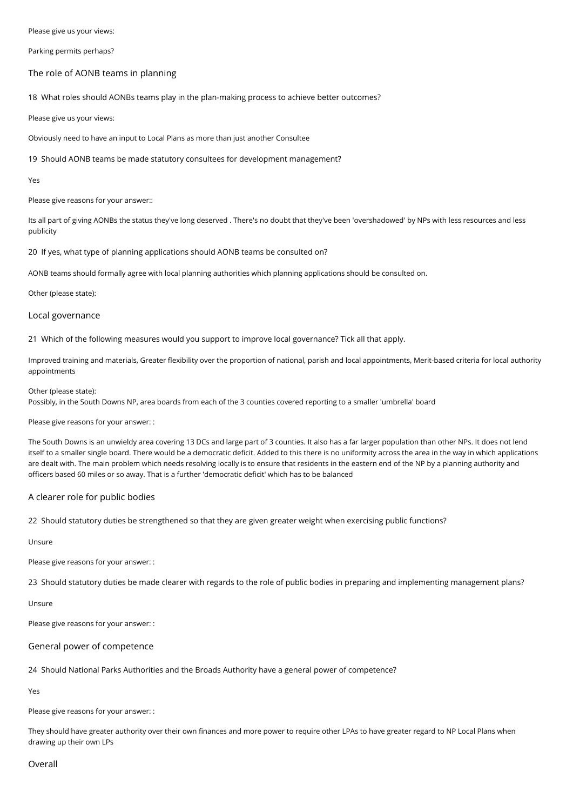Please give us your views:

Parking permits perhaps?

### The role of AONB teams in planning

18 What roles should AONBs teams play in the plan-making process to achieve better outcomes?

Please give us your views:

Obviously need to have an input to Local Plans as more than just another Consultee

19 Should AONB teams be made statutory consultees for development management?

Yes

Please give reasons for your answer::

Its all part of giving AONBs the status they've long deserved . There's no doubt that they've been 'overshadowed' by NPs with less resources and less publicity

20 If yes, what type of planning applications should AONB teams be consulted on?

AONB teams should formally agree with local planning authorities which planning applications should be consulted on.

#### Other (please state):

#### Local governance

21 Which of the following measures would you support to improve local governance? Tick all that apply.

Improved training and materials, Greater flexibility over the proportion of national, parish and local appointments, Merit-based criteria for local authority appointments

#### Other (please state):

Possibly, in the South Downs NP, area boards from each of the 3 counties covered reporting to a smaller 'umbrella' board

Please give reasons for your answer: :

The South Downs is an unwieldy area covering 13 DCs and large part of 3 counties. It also has a far larger population than other NPs. It does not lend itself to a smaller single board. There would be a democratic deficit. Added to this there is no uniformity across the area in the way in which applications are dealt with. The main problem which needs resolving locally is to ensure that residents in the eastern end of the NP by a planning authority and officers based 60 miles or so away. That is a further 'democratic deficit' which has to be balanced

# A clearer role for public bodies

22 Should statutory duties be strengthened so that they are given greater weight when exercising public functions?

# Unsure

Please give reasons for your answer: :

23 Should statutory duties be made clearer with regards to the role of public bodies in preparing and implementing management plans?

Unsure

Please give reasons for your answer: :

# General power of competence

24 Should National Parks Authorities and the Broads Authority have a general power of competence?

Yes

Please give reasons for your answer: :

They should have greater authority over their own finances and more power to require other LPAs to have greater regard to NP Local Plans when drawing up their own LPs

### Overall